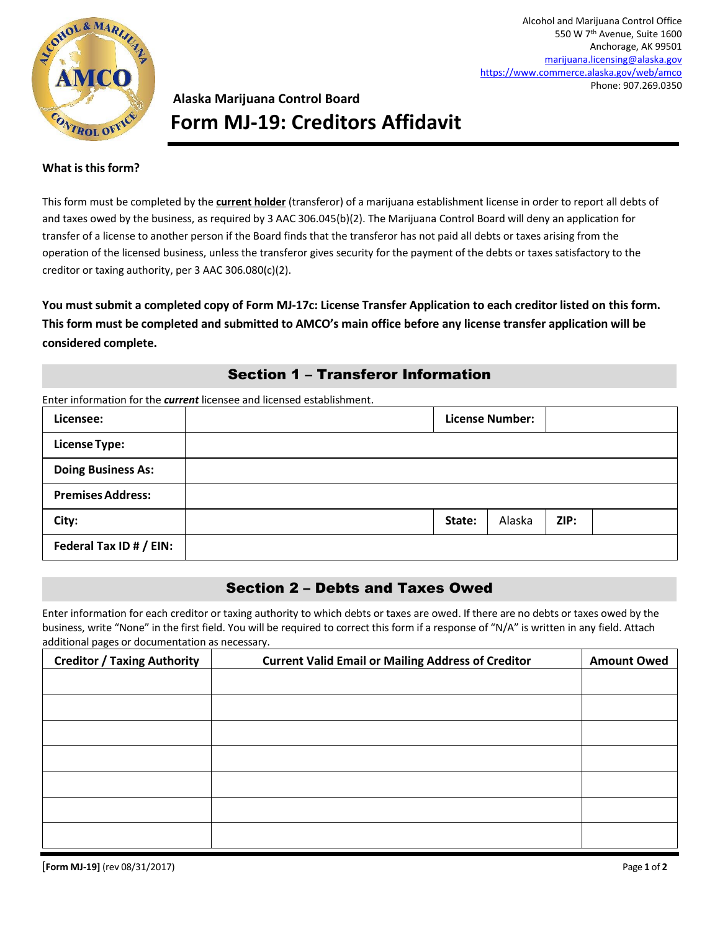

Alcohol and Marijuana Control Office 550 W 7th Avenue, Suite 1600 Anchorage, AK 99501 [marijuana.licensing@alaska.gov](mailto:marijuana.licensing@alaska.gov) <https://www.commerce.alaska.gov/web/amco> Phone: 907.269.0350

## **Alaska Marijuana Control Board Form MJ-19: Creditors Affidavit**

#### **What is this form?**

This form must be completed by the **current holder** (transferor) of a marijuana establishment license in order to report all debts of and taxes owed by the business, as required by 3 AAC 306.045(b)(2). The Marijuana Control Board will deny an application for transfer of a license to another person if the Board finds that the transferor has not paid all debts or taxes arising from the operation of the licensed business, unless the transferor gives security for the payment of the debts or taxes satisfactory to the creditor or taxing authority, per 3 AAC 306.080(c)(2).

**You must submit a completed copy of Form MJ-17c: License Transfer Application to each creditor listed on this form. This form must be completed and submitted to AMCO's main office before any license transfer application will be considered complete.**

#### Section 1 – Transferor Information

Enter information for the *current* licensee and licensed establishment.

| Licensee:                 |        | <b>License Number:</b> |      |  |
|---------------------------|--------|------------------------|------|--|
| <b>License Type:</b>      |        |                        |      |  |
| <b>Doing Business As:</b> |        |                        |      |  |
| <b>Premises Address:</b>  |        |                        |      |  |
| City:                     | State: | Alaska                 | ZIP: |  |
| Federal Tax ID # / EIN:   |        |                        |      |  |

### Section 2 – Debts and Taxes Owed

Enter information for each creditor or taxing authority to which debts or taxes are owed. If there are no debts or taxes owed by the business, write "None" in the first field. You will be required to correct this form if a response of "N/A" is written in any field. Attach additional pages or documentation as necessary.

| <b>Creditor / Taxing Authority</b> | <b>Current Valid Email or Mailing Address of Creditor</b> | <b>Amount Owed</b> |
|------------------------------------|-----------------------------------------------------------|--------------------|
|                                    |                                                           |                    |
|                                    |                                                           |                    |
|                                    |                                                           |                    |
|                                    |                                                           |                    |
|                                    |                                                           |                    |
|                                    |                                                           |                    |
|                                    |                                                           |                    |